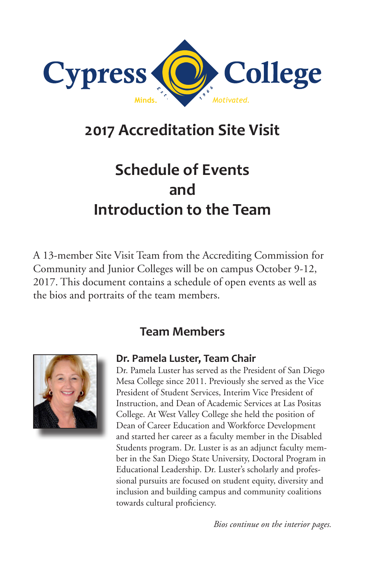

# **2017 Accreditation Site Visit**

# **Schedule of Events and Introduction to the Team**

A 13-member Site Visit Team from the Accrediting Commission for Community and Junior Colleges will be on campus October 9-12, 2017. This document contains a schedule of open events as well as the bios and portraits of the team members.

## **Team Members**



#### **Dr. Pamela Luster, Team Chair**

Dr. Pamela Luster has served as the President of San Diego Mesa College since 2011. Previously she served as the Vice President of Student Services, Interim Vice President of Instruction, and Dean of Academic Services at Las Positas College. At West Valley College she held the position of Dean of Career Education and Workforce Development and started her career as a faculty member in the Disabled Students program. Dr. Luster is as an adjunct faculty member in the San Diego State University, Doctoral Program in Educational Leadership. Dr. Luster's scholarly and professional pursuits are focused on student equity, diversity and inclusion and building campus and community coalitions towards cultural proficiency.

*Bios continue on the interior pages.*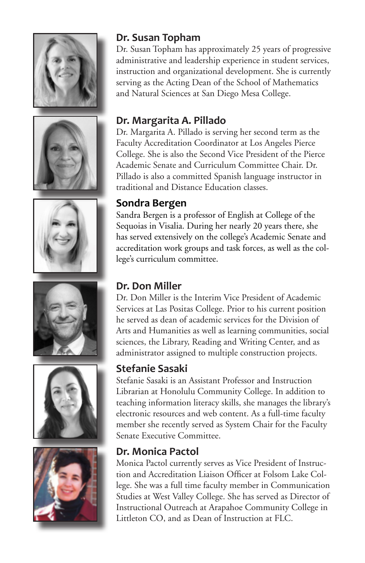











#### **Dr. Susan Topham**

Dr. Susan Topham has approximately 25 years of progressive administrative and leadership experience in student services, instruction and organizational development. She is currently serving as the Acting Dean of the School of Mathematics and Natural Sciences at San Diego Mesa College.

## **Dr. Margarita A. Pillado**

Dr. Margarita A. Pillado is serving her second term as the Faculty Accreditation Coordinator at Los Angeles Pierce College. She is also the Second Vice President of the Pierce Academic Senate and Curriculum Committee Chair. Dr. Pillado is also a committed Spanish language instructor in traditional and Distance Education classes.

#### **Sondra Bergen**

Sandra Bergen is a professor of English at College of the Sequoias in Visalia. During her nearly 20 years there, she has served extensively on the college's Academic Senate and accreditation work groups and task forces, as well as the college's curriculum committee.

#### **Dr. Don Miller**

Dr. Don Miller is the Interim Vice President of Academic Services at Las Positas College. Prior to his current position he served as dean of academic services for the Division of Arts and Humanities as well as learning communities, social sciences, the Library, Reading and Writing Center, and as administrator assigned to multiple construction projects.

#### **Stefanie Sasaki**

Stefanie Sasaki is an Assistant Professor and Instruction Librarian at Honolulu Community College. In addition to teaching information literacy skills, she manages the library's electronic resources and web content. As a full-time faculty member she recently served as System Chair for the Faculty Senate Executive Committee.

#### **Dr. Monica Pactol**

Monica Pactol currently serves as Vice President of Instruction and Accreditation Liaison Officer at Folsom Lake College. She was a full time faculty member in Communication Studies at West Valley College. She has served as Director of Instructional Outreach at Arapahoe Community College in Littleton CO, and as Dean of Instruction at FLC.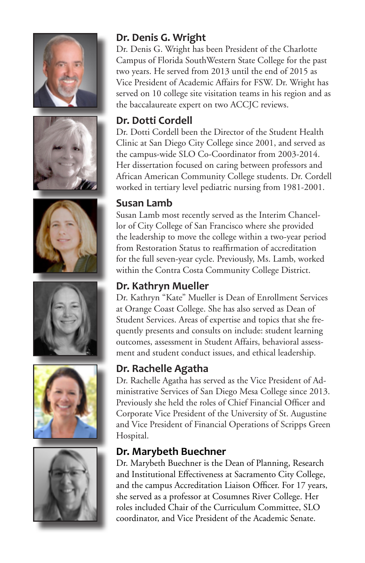











### **Dr. Denis G. Wright**

Dr. Denis G. Wright has been President of the Charlotte Campus of Florida SouthWestern State College for the past two years. He served from 2013 until the end of 2015 as Vice President of Academic Affairs for FSW. Dr. Wright has served on 10 college site visitation teams in his region and as the baccalaureate expert on two ACCJC reviews.

#### **Dr. Dotti Cordell**

Dr. Dotti Cordell been the Director of the Student Health Clinic at San Diego City College since 2001, and served as the campus-wide SLO Co-Coordinator from 2003-2014. Her dissertation focused on caring between professors and African American Community College students. Dr. Cordell worked in tertiary level pediatric nursing from 1981-2001.

#### **Susan Lamb**

Susan Lamb most recently served as the Interim Chancellor of City College of San Francisco where she provided the leadership to move the college within a two-year period from Restoration Status to reaffirmation of accreditation for the full seven-year cycle. Previously, Ms. Lamb, worked within the Contra Costa Community College District.

### **Dr. Kathryn Mueller**

Dr. Kathryn "Kate" Mueller is Dean of Enrollment Services at Orange Coast College. She has also served as Dean of Student Services. Areas of expertise and topics that she frequently presents and consults on include: student learning outcomes, assessment in Student Affairs, behavioral assessment and student conduct issues, and ethical leadership.

### **Dr. Rachelle Agatha**

Dr. Rachelle Agatha has served as the Vice President of Administrative Services of San Diego Mesa College since 2013. Previously she held the roles of Chief Financial Officer and Corporate Vice President of the University of St. Augustine and Vice President of Financial Operations of Scripps Green Hospital.

#### **Dr. Marybeth Buechner**

Dr. Marybeth Buechner is the Dean of Planning, Research and Institutional Effectiveness at Sacramento City College, and the campus Accreditation Liaison Officer. For 17 years, she served as a professor at Cosumnes River College. Her roles included Chair of the Curriculum Committee, SLO coordinator, and Vice President of the Academic Senate.